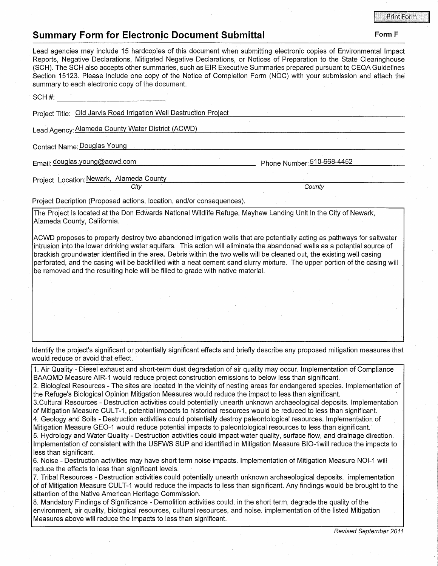## **Summary Form for Electronic Document Submittal Form F Form F Form F**

## Lead agencies may include 15 hardcopies of this document when submitting electronic copies of Environmental Impact Reports, Negative Declarations, Mitigated Negative Declarations, or Notices of Preparation to the State Clearinghouse (SCH). The SCH also accepts other summaries, such as EIR Executive Summaries prepared pursuant to CEQA Guidelines Section 15123. Please include one copy of the Notice of Completion Form (NOC) with your submission and attach the summary to each electronic copy of the document. SCH#: ------------- Project Title: Old Jarvis Road Irrigation Well Destruction Project Lead Agency:Alameda County Water District (ACWD) Contact Name: Douglas Young Email: douglas.young@acwd.com Project Location: Newark, Alameda County **City** Project Decription (Proposed actions, location, and/or consequences). Phone Number: 510-668-4452 **Countv** The Project is located at the Don Edwards National Wildlife Refuge, Mayhew Landing Unit in the City of Newark, Alameda County, California. ACWD proposes to properly destroy two abandoned irrigation wells that are potentially acting as pathways for saltwater intrusion into the lower drinking water aquifers. This action will eliminate the abandoned wells as a potential source of brackish groundwater identified in the area. Debris within the two wells will be cleaned out, the existing well casing perforated, and the casing will be backfilled with a neat cement sand slurry mixture. The upper portion of the casing will be removed and the resulting hole will be filled to grade with native material. Identify the project's significant or potentially significant effects and briefly describe any proposed mitigation measures that would reduce or avoid that effect. 1. Air Quality - Diesel exhaust and short-term dust degradation of air quality may occur. Implementation of Compliance

BAAQMD Measure AIR-1 would reduce project construction emissions to below less than significant.

2. Biological Resources - The sites are located in the vicinity of nesting areas for endangered species. Implementation of the Refuge's Biological Opinion Mitigation Measures would reduce the impact to less than significant.

3.Cultural Resources - Destruction activities could potentially unearth unknown archaeological deposits. Implementation of Mitigation Measure CUL T-1, potential impacts to historical resources would be reduced to less than significant.

4. Geology and Soils - Destruction activities could potentially destroy paleontological resources. Implementation of Mitigation Measure GEO-1 would reduce potential impacts to paleontological resources to less than significant.

5. Hydrology and Water Quality - Destruction activities could impact water quality, surface flow, and drainage direction. Implementation of consistent with the USFWS SUP and identified in Mitigation Measure BIO-1will reduce the impacts to less than significant.

6. Noise - Destruction activities may have short term noise impacts. Implementation of Mitigation Measure NOl-1 will reduce the effects to less than significant levels.

7. Tribal Resources - Destruction activities could potentially unearth unknown archaeological deposits. implementation of of Mitigation Measure CUL T-1 would reduce the impacts to less than significant. Any findings would be brought to the attention of the Native American Heritage Commission.

8. Mandatory Findings of Significance - Demolition activities could, in the short term, degrade the quality of the environment, air quality, biological resources, cultural resources, and noise. implementation of the listed Mitigation Measures above will reduce the impacts to less than significant.

Revised September 2011